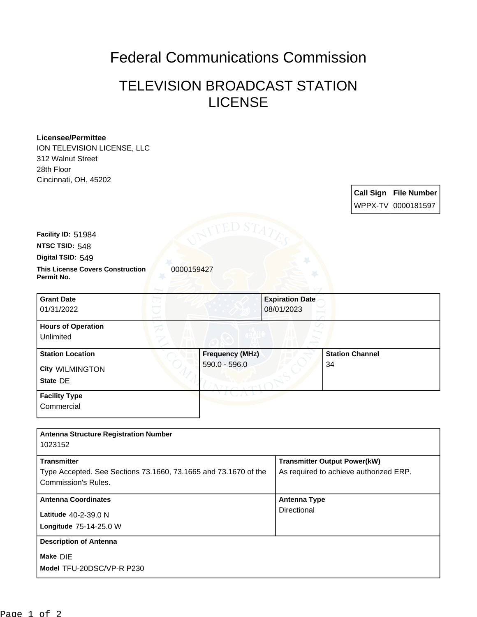## Federal Communications Commission

## TELEVISION BROADCAST STATION LICENSE

## **Licensee/Permittee**

ION TELEVISION LICENSE, LLC 312 Walnut Street 28th Floor Cincinnati, OH, 45202

> **Call Sign File Number** WPPX-TV 0000181597

**Facility ID:** 51984

**NTSC TSID:** 548

**Digital TSID:** 549

**This License Covers Construction**  0000159427 **Permit No.**

**State** DE **City** WILMINGTON **Grant Date** 01/31/2022 **Expiration Date** 08/01/2023 **Hours of Operation** Unlimited **Station Location Frequency (MHz)** 590.0 - 596.0 **Station Channel** 34 **Facility Type Commercial** 

**Model** TFU-20DSC/VP-R P230 **Make** DIE **Longitude** 75-14-25.0 W **Latitude** 40-2-39.0 N **Antenna Structure Registration Number** 1023152 **Transmitter** Type Accepted. See Sections 73.1660, 73.1665 and 73.1670 of the Commission's Rules. **Transmitter Output Power(kW)** As required to achieve authorized ERP. **Antenna Coordinates Antenna Type Directional Description of Antenna**